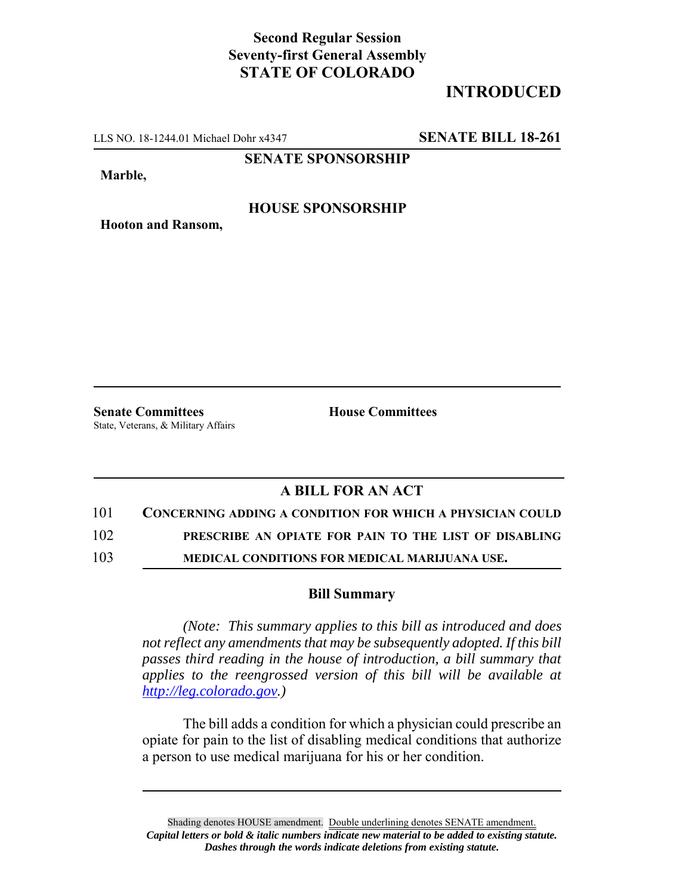# **Second Regular Session Seventy-first General Assembly STATE OF COLORADO**

# **INTRODUCED**

LLS NO. 18-1244.01 Michael Dohr x4347 **SENATE BILL 18-261**

**SENATE SPONSORSHIP**

**Marble,**

#### **HOUSE SPONSORSHIP**

**Hooton and Ransom,**

**Senate Committees House Committees** State, Veterans, & Military Affairs

## **A BILL FOR AN ACT**

### 101 **CONCERNING ADDING A CONDITION FOR WHICH A PHYSICIAN COULD**

102 **PRESCRIBE AN OPIATE FOR PAIN TO THE LIST OF DISABLING**

103 **MEDICAL CONDITIONS FOR MEDICAL MARIJUANA USE.**

#### **Bill Summary**

*(Note: This summary applies to this bill as introduced and does not reflect any amendments that may be subsequently adopted. If this bill passes third reading in the house of introduction, a bill summary that applies to the reengrossed version of this bill will be available at http://leg.colorado.gov.)*

The bill adds a condition for which a physician could prescribe an opiate for pain to the list of disabling medical conditions that authorize a person to use medical marijuana for his or her condition.

Shading denotes HOUSE amendment. Double underlining denotes SENATE amendment. *Capital letters or bold & italic numbers indicate new material to be added to existing statute. Dashes through the words indicate deletions from existing statute.*